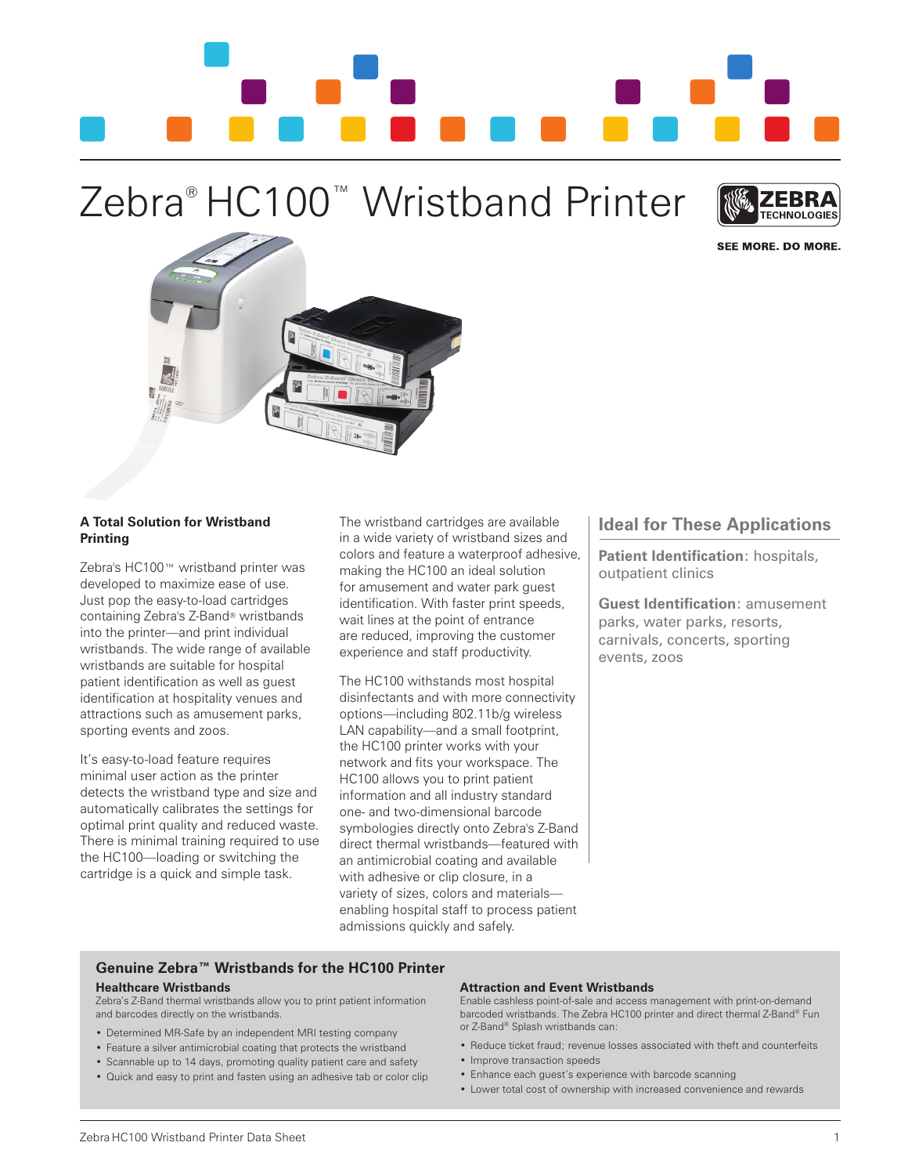

# Zebra® HC100™ Wristband Printer



SEE MORE. DO MORE.



# **A Total Solution for Wristband Printing**

Zebra's HC100™ wristband printer was developed to maximize ease of use. Just pop the easy-to-load cartridges containing Zebra's Z-Band® wristbands into the printer—and print individual wristbands. The wide range of available wristbands are suitable for hospital patient identification as well as guest identification at hospitality venues and attractions such as amusement parks, sporting events and zoos.

It's easy-to-load feature requires minimal user action as the printer detects the wristband type and size and automatically calibrates the settings for optimal print quality and reduced waste. There is minimal training required to use the HC100—loading or switching the cartridge is a quick and simple task.

The wristband cartridges are available in a wide variety of wristband sizes and colors and feature a waterproof adhesive, making the HC100 an ideal solution for amusement and water park guest identification. With faster print speeds, wait lines at the point of entrance are reduced, improving the customer experience and staff productivity.

The HC100 withstands most hospital disinfectants and with more connectivity options—including 802.11b/g wireless LAN capability—and a small footprint, the HC100 printer works with your network and fits your workspace. The HC100 allows you to print patient information and all industry standard one- and two-dimensional barcode symbologies directly onto Zebra's Z-Band direct thermal wristbands—featured with an antimicrobial coating and available with adhesive or clip closure, in a variety of sizes, colors and materials enabling hospital staff to process patient admissions quickly and safely.

# **Ideal for These Applications**

**Patient Identification**: hospitals, outpatient clinics

**Guest Identification**: amusement parks, water parks, resorts, carnivals, concerts, sporting events, zoos

# **Genuine Zebra™ Wristbands for the HC100 Printer**

#### **Healthcare Wristbands**

Zebra's Z-Band thermal wristbands allow you to print patient information and barcodes directly on the wristbands.

- Determined MR-Safe by an independent MRI testing company
- Feature a silver antimicrobial coating that protects the wristband
- Scannable up to 14 days, promoting quality patient care and safety
- Quick and easy to print and fasten using an adhesive tab or color clip

#### **Attraction and Event Wristbands**

Enable cashless point-of-sale and access management with print-on-demand barcoded wristbands. The Zebra HC100 printer and direct thermal Z-Band® Fun or Z-Band® Splash wristbands can:

- Reduce ticket fraud; revenue losses associated with theft and counterfeits
- Improve transaction speeds
- Enhance each guest's experience with barcode scanning
- Lower total cost of ownership with increased convenience and rewards